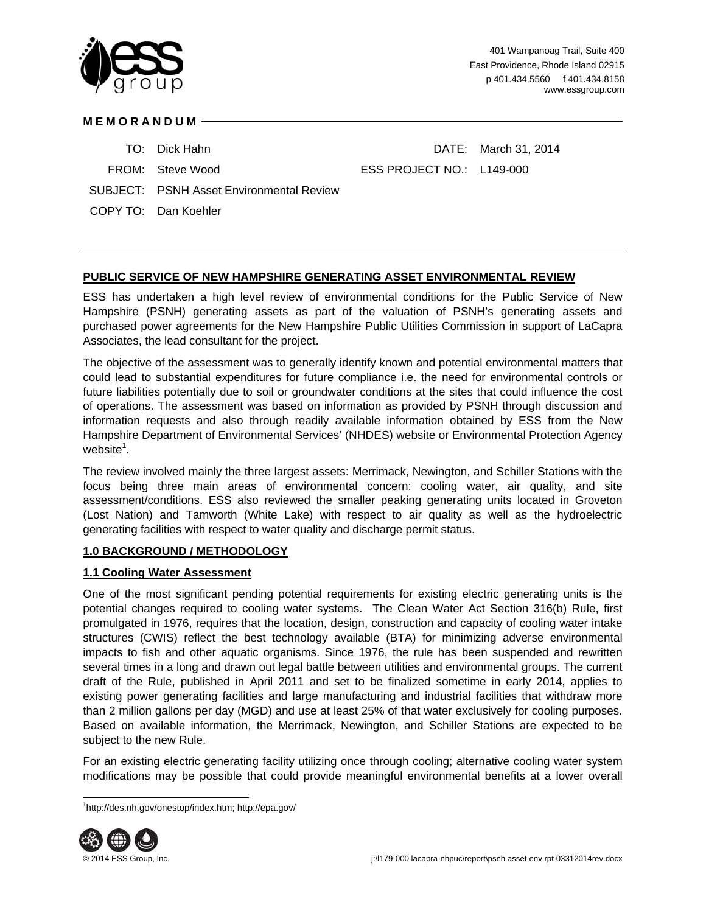

## **MEMORANDUM**

- 
- 

TO: Dick Hahn DATE: March 31, 2014

FROM: Steve Wood ESS PROJECT NO.: L149-000

- SUBJECT: PSNH Asset Environmental Review
- COPY TO: Dan Koehler

## **PUBLIC SERVICE OF NEW HAMPSHIRE GENERATING ASSET ENVIRONMENTAL REVIEW**

ESS has undertaken a high level review of environmental conditions for the Public Service of New Hampshire (PSNH) generating assets as part of the valuation of PSNH's generating assets and purchased power agreements for the New Hampshire Public Utilities Commission in support of LaCapra Associates, the lead consultant for the project.

The objective of the assessment was to generally identify known and potential environmental matters that could lead to substantial expenditures for future compliance i.e. the need for environmental controls or future liabilities potentially due to soil or groundwater conditions at the sites that could influence the cost of operations. The assessment was based on information as provided by PSNH through discussion and information requests and also through readily available information obtained by ESS from the New Hampshire Department of Environmental Services' (NHDES) website or Environmental Protection Agency website $^1$ .

The review involved mainly the three largest assets: Merrimack, Newington, and Schiller Stations with the focus being three main areas of environmental concern: cooling water, air quality, and site assessment/conditions. ESS also reviewed the smaller peaking generating units located in Groveton (Lost Nation) and Tamworth (White Lake) with respect to air quality as well as the hydroelectric generating facilities with respect to water quality and discharge permit status.

## **1.0 BACKGROUND / METHODOLOGY**

### **1.1 Cooling Water Assessment**

One of the most significant pending potential requirements for existing electric generating units is the potential changes required to cooling water systems. The Clean Water Act Section 316(b) Rule, first promulgated in 1976, requires that the location, design, construction and capacity of cooling water intake structures (CWIS) reflect the best technology available (BTA) for minimizing adverse environmental impacts to fish and other aquatic organisms. Since 1976, the rule has been suspended and rewritten several times in a long and drawn out legal battle between utilities and environmental groups. The current draft of the Rule, published in April 2011 and set to be finalized sometime in early 2014, applies to existing power generating facilities and large manufacturing and industrial facilities that withdraw more than 2 million gallons per day (MGD) and use at least 25% of that water exclusively for cooling purposes. Based on available information, the Merrimack, Newington, and Schiller Stations are expected to be subject to the new Rule.

For an existing electric generating facility utilizing once through cooling; alternative cooling water system modifications may be possible that could provide meaningful environmental benefits at a lower overall

l 1 http://des.nh.gov/onestop/index.htm; http://epa.gov/

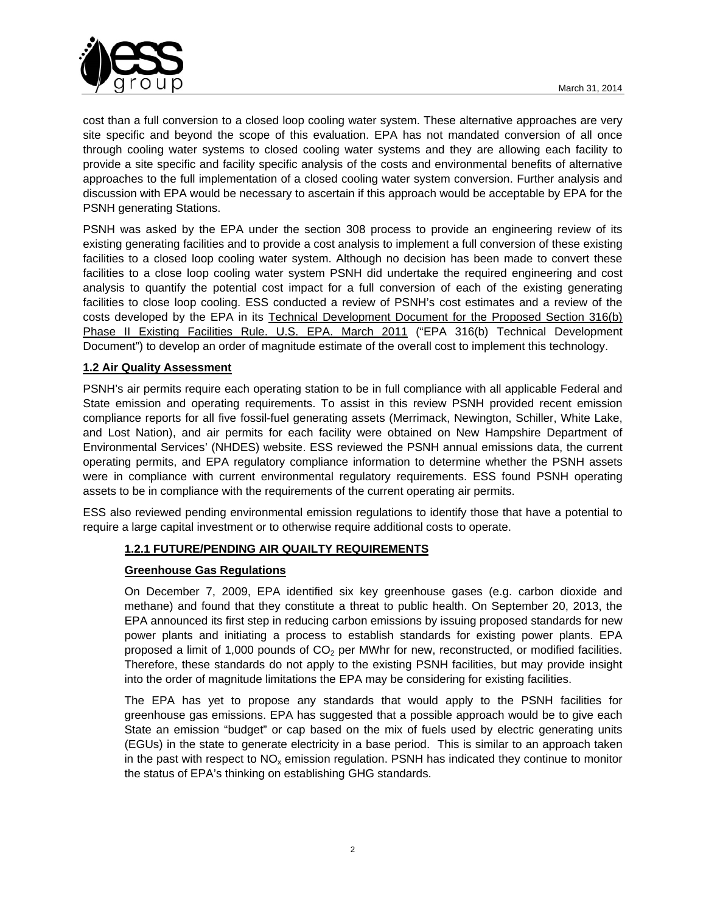

cost than a full conversion to a closed loop cooling water system. These alternative approaches are very site specific and beyond the scope of this evaluation. EPA has not mandated conversion of all once through cooling water systems to closed cooling water systems and they are allowing each facility to provide a site specific and facility specific analysis of the costs and environmental benefits of alternative approaches to the full implementation of a closed cooling water system conversion. Further analysis and discussion with EPA would be necessary to ascertain if this approach would be acceptable by EPA for the PSNH generating Stations.

PSNH was asked by the EPA under the section 308 process to provide an engineering review of its existing generating facilities and to provide a cost analysis to implement a full conversion of these existing facilities to a closed loop cooling water system. Although no decision has been made to convert these facilities to a close loop cooling water system PSNH did undertake the required engineering and cost analysis to quantify the potential cost impact for a full conversion of each of the existing generating facilities to close loop cooling. ESS conducted a review of PSNH's cost estimates and a review of the costs developed by the EPA in its Technical Development Document for the Proposed Section 316(b) Phase II Existing Facilities Rule. U.S. EPA. March 2011 ("EPA 316(b) Technical Development Document") to develop an order of magnitude estimate of the overall cost to implement this technology.

## **1.2 Air Quality Assessment**

PSNH's air permits require each operating station to be in full compliance with all applicable Federal and State emission and operating requirements. To assist in this review PSNH provided recent emission compliance reports for all five fossil-fuel generating assets (Merrimack, Newington, Schiller, White Lake, and Lost Nation), and air permits for each facility were obtained on New Hampshire Department of Environmental Services' (NHDES) website. ESS reviewed the PSNH annual emissions data, the current operating permits, and EPA regulatory compliance information to determine whether the PSNH assets were in compliance with current environmental regulatory requirements. ESS found PSNH operating assets to be in compliance with the requirements of the current operating air permits.

ESS also reviewed pending environmental emission regulations to identify those that have a potential to require a large capital investment or to otherwise require additional costs to operate.

### **1.2.1 FUTURE/PENDING AIR QUAILTY REQUIREMENTS**

## **Greenhouse Gas Regulations**

On December 7, 2009, EPA identified six key greenhouse gases (e.g. carbon dioxide and methane) and found that they constitute a threat to public health. On September 20, 2013, the EPA announced its first step in reducing carbon emissions by issuing proposed standards for new power plants and initiating a process to establish standards for existing power plants. EPA proposed a limit of 1,000 pounds of  $CO<sub>2</sub>$  per MWhr for new, reconstructed, or modified facilities. Therefore, these standards do not apply to the existing PSNH facilities, but may provide insight into the order of magnitude limitations the EPA may be considering for existing facilities.

The EPA has yet to propose any standards that would apply to the PSNH facilities for greenhouse gas emissions. EPA has suggested that a possible approach would be to give each State an emission "budget" or cap based on the mix of fuels used by electric generating units (EGUs) in the state to generate electricity in a base period. This is similar to an approach taken in the past with respect to  $NO<sub>x</sub>$  emission regulation. PSNH has indicated they continue to monitor the status of EPA's thinking on establishing GHG standards.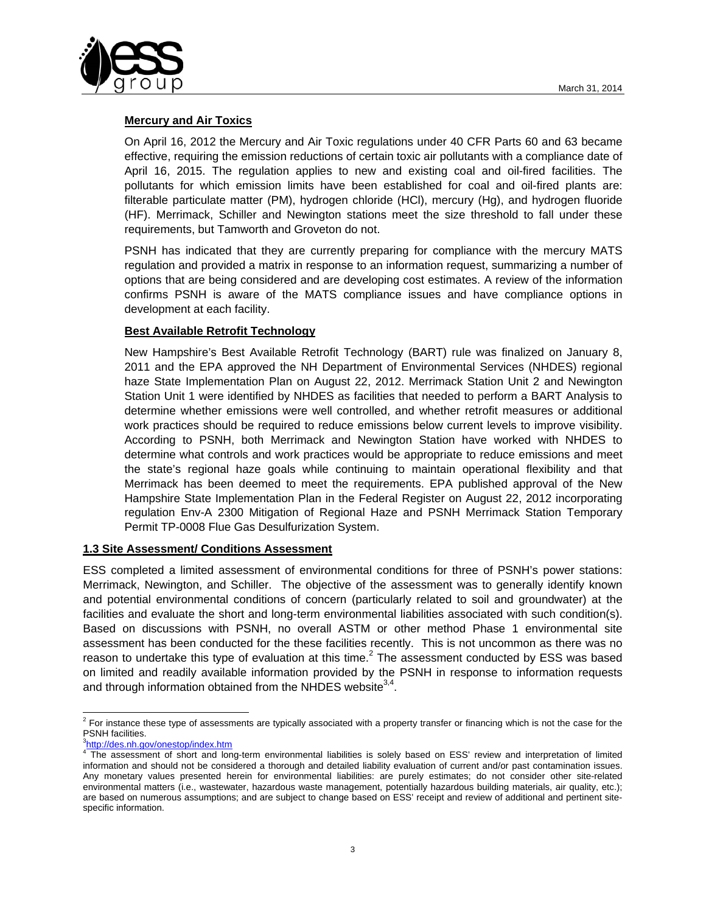

## **Mercury and Air Toxics**

On April 16, 2012 the Mercury and Air Toxic regulations under 40 CFR Parts 60 and 63 became effective, requiring the emission reductions of certain toxic air pollutants with a compliance date of April 16, 2015. The regulation applies to new and existing coal and oil-fired facilities. The pollutants for which emission limits have been established for coal and oil-fired plants are: filterable particulate matter (PM), hydrogen chloride (HCl), mercury (Hg), and hydrogen fluoride (HF). Merrimack, Schiller and Newington stations meet the size threshold to fall under these requirements, but Tamworth and Groveton do not.

PSNH has indicated that they are currently preparing for compliance with the mercury MATS regulation and provided a matrix in response to an information request, summarizing a number of options that are being considered and are developing cost estimates. A review of the information confirms PSNH is aware of the MATS compliance issues and have compliance options in development at each facility.

### **Best Available Retrofit Technology**

New Hampshire's Best Available Retrofit Technology (BART) rule was finalized on January 8, 2011 and the EPA approved the NH Department of Environmental Services (NHDES) regional haze State Implementation Plan on August 22, 2012. Merrimack Station Unit 2 and Newington Station Unit 1 were identified by NHDES as facilities that needed to perform a BART Analysis to determine whether emissions were well controlled, and whether retrofit measures or additional work practices should be required to reduce emissions below current levels to improve visibility. According to PSNH, both Merrimack and Newington Station have worked with NHDES to determine what controls and work practices would be appropriate to reduce emissions and meet the state's regional haze goals while continuing to maintain operational flexibility and that Merrimack has been deemed to meet the requirements. EPA published approval of the New Hampshire State Implementation Plan in the Federal Register on August 22, 2012 incorporating regulation Env-A 2300 Mitigation of Regional Haze and PSNH Merrimack Station Temporary Permit TP-0008 Flue Gas Desulfurization System.

### **1.3 Site Assessment/ Conditions Assessment**

ESS completed a limited assessment of environmental conditions for three of PSNH's power stations: Merrimack, Newington, and Schiller. The objective of the assessment was to generally identify known and potential environmental conditions of concern (particularly related to soil and groundwater) at the facilities and evaluate the short and long-term environmental liabilities associated with such condition(s). Based on discussions with PSNH, no overall ASTM or other method Phase 1 environmental site assessment has been conducted for the these facilities recently. This is not uncommon as there was no reason to undertake this type of evaluation at this time. $^2$  The assessment conducted by ESS was based on limited and readily available information provided by the PSNH in response to information requests and through information obtained from the NHDES website  $3,4$ .

 2 For instance these type of assessments are typically associated with a property transfer or financing which is not the case for the PSNH facilities.

<sup>&</sup>lt;sup>3</sup>http://<u>des.nh.gov/onestop/index.htm</u><br><sup>4</sup> The assessment of short and long-term environmental liabilities is solely based on ESS' review and interpretation of limited information and should not be considered a thorough and detailed liability evaluation of current and/or past contamination issues. Any monetary values presented herein for environmental liabilities: are purely estimates; do not consider other site-related environmental matters (i.e., wastewater, hazardous waste management, potentially hazardous building materials, air quality, etc.); are based on numerous assumptions; and are subject to change based on ESS' receipt and review of additional and pertinent sitespecific information.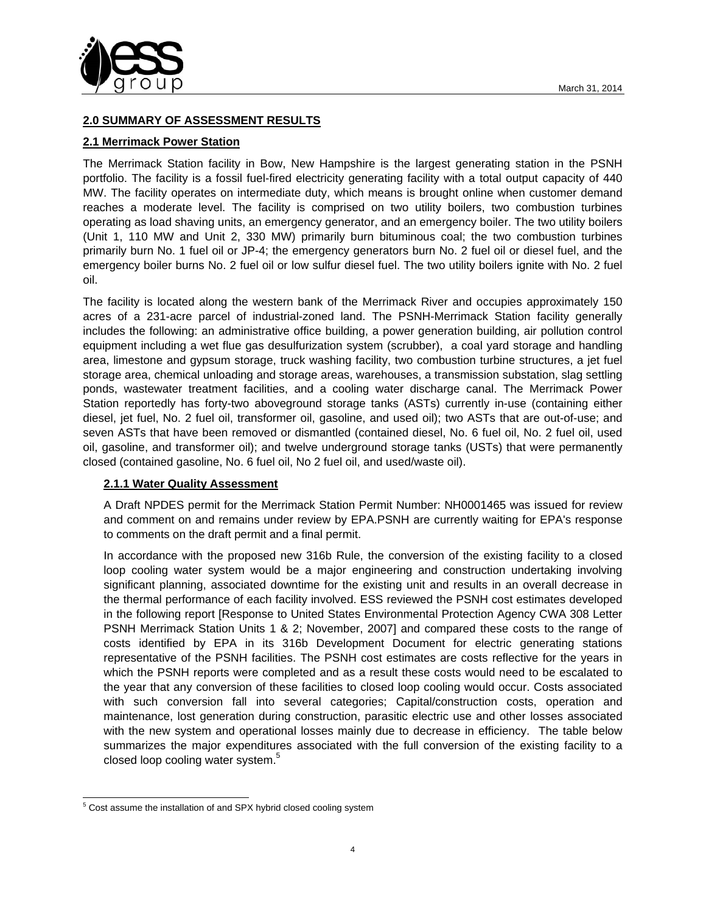

# **2.0 SUMMARY OF ASSESSMENT RESULTS**

## **2.1 Merrimack Power Station**

The Merrimack Station facility in Bow, New Hampshire is the largest generating station in the PSNH portfolio. The facility is a fossil fuel-fired electricity generating facility with a total output capacity of 440 MW. The facility operates on intermediate duty, which means is brought online when customer demand reaches a moderate level. The facility is comprised on two utility boilers, two combustion turbines operating as load shaving units, an emergency generator, and an emergency boiler. The two utility boilers (Unit 1, 110 MW and Unit 2, 330 MW) primarily burn bituminous coal; the two combustion turbines primarily burn No. 1 fuel oil or JP-4; the emergency generators burn No. 2 fuel oil or diesel fuel, and the emergency boiler burns No. 2 fuel oil or low sulfur diesel fuel. The two utility boilers ignite with No. 2 fuel oil.

The facility is located along the western bank of the Merrimack River and occupies approximately 150 acres of a 231-acre parcel of industrial-zoned land. The PSNH-Merrimack Station facility generally includes the following: an administrative office building, a power generation building, air pollution control equipment including a wet flue gas desulfurization system (scrubber), a coal yard storage and handling area, limestone and gypsum storage, truck washing facility, two combustion turbine structures, a jet fuel storage area, chemical unloading and storage areas, warehouses, a transmission substation, slag settling ponds, wastewater treatment facilities, and a cooling water discharge canal. The Merrimack Power Station reportedly has forty-two aboveground storage tanks (ASTs) currently in-use (containing either diesel, jet fuel, No. 2 fuel oil, transformer oil, gasoline, and used oil); two ASTs that are out-of-use; and seven ASTs that have been removed or dismantled (contained diesel, No. 6 fuel oil, No. 2 fuel oil, used oil, gasoline, and transformer oil); and twelve underground storage tanks (USTs) that were permanently closed (contained gasoline, No. 6 fuel oil, No 2 fuel oil, and used/waste oil).

### **2.1.1 Water Quality Assessment**

A Draft NPDES permit for the Merrimack Station Permit Number: NH0001465 was issued for review and comment on and remains under review by EPA.PSNH are currently waiting for EPA's response to comments on the draft permit and a final permit.

In accordance with the proposed new 316b Rule, the conversion of the existing facility to a closed loop cooling water system would be a major engineering and construction undertaking involving significant planning, associated downtime for the existing unit and results in an overall decrease in the thermal performance of each facility involved. ESS reviewed the PSNH cost estimates developed in the following report [Response to United States Environmental Protection Agency CWA 308 Letter PSNH Merrimack Station Units 1 & 2; November, 2007] and compared these costs to the range of costs identified by EPA in its 316b Development Document for electric generating stations representative of the PSNH facilities. The PSNH cost estimates are costs reflective for the years in which the PSNH reports were completed and as a result these costs would need to be escalated to the year that any conversion of these facilities to closed loop cooling would occur. Costs associated with such conversion fall into several categories; Capital/construction costs, operation and maintenance, lost generation during construction, parasitic electric use and other losses associated with the new system and operational losses mainly due to decrease in efficiency. The table below summarizes the major expenditures associated with the full conversion of the existing facility to a closed loop cooling water system.<sup>5</sup>

l <sup>5</sup> Cost assume the installation of and SPX hybrid closed cooling system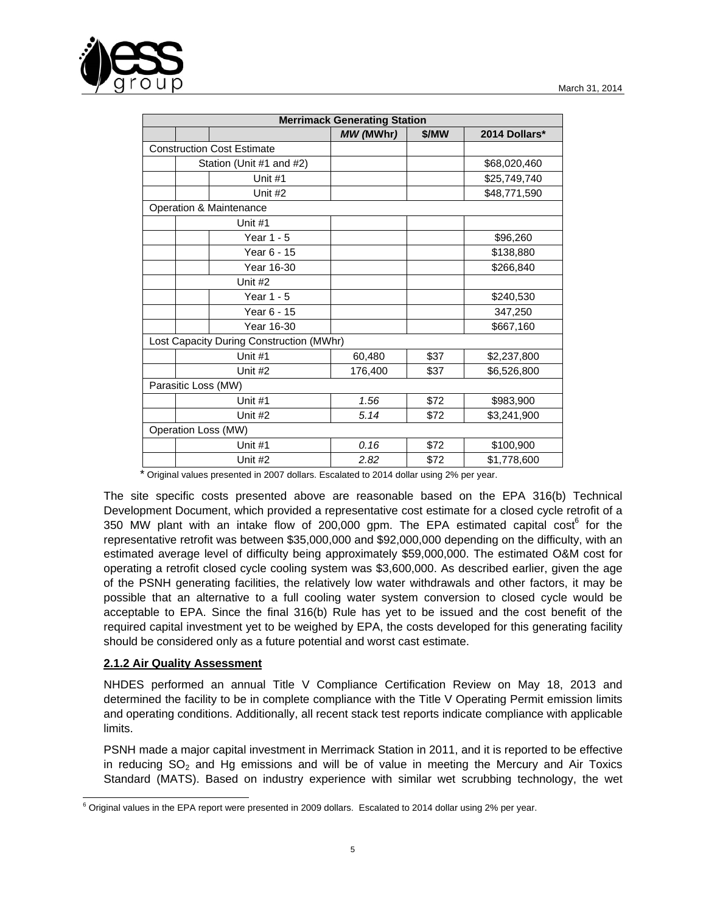

| <b>Merrimack Generating Station</b>      |                          |                                   |           |       |               |  |  |
|------------------------------------------|--------------------------|-----------------------------------|-----------|-------|---------------|--|--|
|                                          |                          |                                   | MW (MWhr) | \$/MW | 2014 Dollars* |  |  |
|                                          |                          | <b>Construction Cost Estimate</b> |           |       |               |  |  |
|                                          | Station (Unit #1 and #2) |                                   |           |       | \$68,020,460  |  |  |
|                                          |                          | Unit #1                           |           |       | \$25,749,740  |  |  |
|                                          |                          | Unit #2                           |           |       | \$48,771,590  |  |  |
| Operation & Maintenance                  |                          |                                   |           |       |               |  |  |
|                                          |                          | Unit #1                           |           |       |               |  |  |
|                                          |                          | Year 1 - 5                        |           |       | \$96,260      |  |  |
|                                          |                          | Year 6 - 15                       |           |       | \$138,880     |  |  |
|                                          |                          | Year 16-30                        |           |       | \$266,840     |  |  |
|                                          |                          | Unit #2                           |           |       |               |  |  |
|                                          |                          | Year 1 - 5                        |           |       | \$240,530     |  |  |
|                                          |                          | Year 6 - 15                       |           |       | 347,250       |  |  |
|                                          |                          | Year 16-30                        |           |       | \$667,160     |  |  |
| Lost Capacity During Construction (MWhr) |                          |                                   |           |       |               |  |  |
|                                          | Unit #1                  |                                   | 60,480    | \$37  | \$2,237,800   |  |  |
|                                          | Unit #2                  |                                   | 176,400   | \$37  | \$6,526,800   |  |  |
| Parasitic Loss (MW)                      |                          |                                   |           |       |               |  |  |
|                                          |                          | Unit #1                           | 1.56      | \$72  | \$983,900     |  |  |
|                                          |                          | Unit #2                           | 5.14      | \$72  | \$3,241,900   |  |  |
| Operation Loss (MW)                      |                          |                                   |           |       |               |  |  |
|                                          |                          | Unit #1                           | 0.16      | \$72  | \$100,900     |  |  |
|                                          |                          | Unit #2                           | 2.82      | \$72  | \$1,778,600   |  |  |

\* Original values presented in 2007 dollars. Escalated to 2014 dollar using 2% per year.

The site specific costs presented above are reasonable based on the EPA 316(b) Technical Development Document, which provided a representative cost estimate for a closed cycle retrofit of a 350 MW plant with an intake flow of 200,000 gpm. The EPA estimated capital  $\text{cost}^6$  for the representative retrofit was between \$35,000,000 and \$92,000,000 depending on the difficulty, with an estimated average level of difficulty being approximately \$59,000,000. The estimated O&M cost for operating a retrofit closed cycle cooling system was \$3,600,000. As described earlier, given the age of the PSNH generating facilities, the relatively low water withdrawals and other factors, it may be possible that an alternative to a full cooling water system conversion to closed cycle would be acceptable to EPA. Since the final 316(b) Rule has yet to be issued and the cost benefit of the required capital investment yet to be weighed by EPA, the costs developed for this generating facility should be considered only as a future potential and worst cast estimate.

#### **2.1.2 Air Quality Assessment**

NHDES performed an annual Title V Compliance Certification Review on May 18, 2013 and determined the facility to be in complete compliance with the Title V Operating Permit emission limits and operating conditions. Additionally, all recent stack test reports indicate compliance with applicable limits.

PSNH made a major capital investment in Merrimack Station in 2011, and it is reported to be effective in reducing  $SO<sub>2</sub>$  and Hg emissions and will be of value in meeting the Mercury and Air Toxics Standard (MATS). Based on industry experience with similar wet scrubbing technology, the wet

 6 Original values in the EPA report were presented in 2009 dollars. Escalated to 2014 dollar using 2% per year.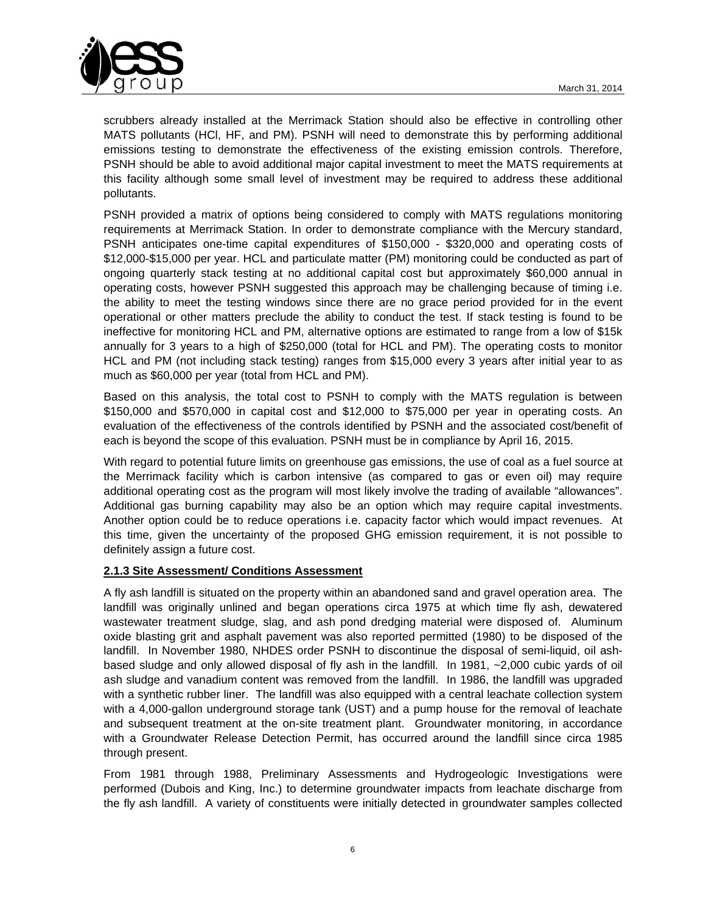

scrubbers already installed at the Merrimack Station should also be effective in controlling other MATS pollutants (HCl, HF, and PM). PSNH will need to demonstrate this by performing additional emissions testing to demonstrate the effectiveness of the existing emission controls. Therefore, PSNH should be able to avoid additional major capital investment to meet the MATS requirements at this facility although some small level of investment may be required to address these additional pollutants.

PSNH provided a matrix of options being considered to comply with MATS regulations monitoring requirements at Merrimack Station. In order to demonstrate compliance with the Mercury standard, PSNH anticipates one-time capital expenditures of \$150,000 - \$320,000 and operating costs of \$12,000-\$15,000 per year. HCL and particulate matter (PM) monitoring could be conducted as part of ongoing quarterly stack testing at no additional capital cost but approximately \$60,000 annual in operating costs, however PSNH suggested this approach may be challenging because of timing i.e. the ability to meet the testing windows since there are no grace period provided for in the event operational or other matters preclude the ability to conduct the test. If stack testing is found to be ineffective for monitoring HCL and PM, alternative options are estimated to range from a low of \$15k annually for 3 years to a high of \$250,000 (total for HCL and PM). The operating costs to monitor HCL and PM (not including stack testing) ranges from \$15,000 every 3 years after initial year to as much as \$60,000 per year (total from HCL and PM).

Based on this analysis, the total cost to PSNH to comply with the MATS regulation is between \$150,000 and \$570,000 in capital cost and \$12,000 to \$75,000 per year in operating costs. An evaluation of the effectiveness of the controls identified by PSNH and the associated cost/benefit of each is beyond the scope of this evaluation. PSNH must be in compliance by April 16, 2015.

With regard to potential future limits on greenhouse gas emissions, the use of coal as a fuel source at the Merrimack facility which is carbon intensive (as compared to gas or even oil) may require additional operating cost as the program will most likely involve the trading of available "allowances". Additional gas burning capability may also be an option which may require capital investments. Another option could be to reduce operations i.e. capacity factor which would impact revenues. At this time, given the uncertainty of the proposed GHG emission requirement, it is not possible to definitely assign a future cost.

## **2.1.3 Site Assessment/ Conditions Assessment**

A fly ash landfill is situated on the property within an abandoned sand and gravel operation area. The landfill was originally unlined and began operations circa 1975 at which time fly ash, dewatered wastewater treatment sludge, slag, and ash pond dredging material were disposed of. Aluminum oxide blasting grit and asphalt pavement was also reported permitted (1980) to be disposed of the landfill. In November 1980, NHDES order PSNH to discontinue the disposal of semi-liquid, oil ashbased sludge and only allowed disposal of fly ash in the landfill. In 1981, ~2,000 cubic yards of oil ash sludge and vanadium content was removed from the landfill. In 1986, the landfill was upgraded with a synthetic rubber liner. The landfill was also equipped with a central leachate collection system with a 4,000-gallon underground storage tank (UST) and a pump house for the removal of leachate and subsequent treatment at the on-site treatment plant. Groundwater monitoring, in accordance with a Groundwater Release Detection Permit, has occurred around the landfill since circa 1985 through present.

From 1981 through 1988, Preliminary Assessments and Hydrogeologic Investigations were performed (Dubois and King, Inc.) to determine groundwater impacts from leachate discharge from the fly ash landfill. A variety of constituents were initially detected in groundwater samples collected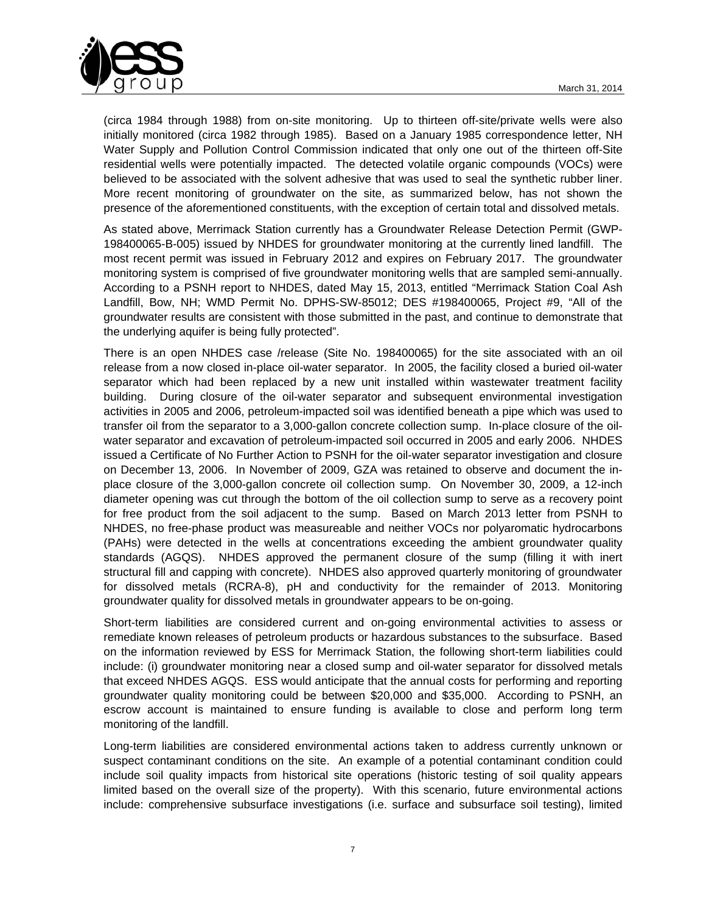

(circa 1984 through 1988) from on-site monitoring. Up to thirteen off-site/private wells were also initially monitored (circa 1982 through 1985). Based on a January 1985 correspondence letter, NH Water Supply and Pollution Control Commission indicated that only one out of the thirteen off-Site residential wells were potentially impacted. The detected volatile organic compounds (VOCs) were believed to be associated with the solvent adhesive that was used to seal the synthetic rubber liner. More recent monitoring of groundwater on the site, as summarized below, has not shown the presence of the aforementioned constituents, with the exception of certain total and dissolved metals.

As stated above, Merrimack Station currently has a Groundwater Release Detection Permit (GWP-198400065-B-005) issued by NHDES for groundwater monitoring at the currently lined landfill. The most recent permit was issued in February 2012 and expires on February 2017. The groundwater monitoring system is comprised of five groundwater monitoring wells that are sampled semi-annually. According to a PSNH report to NHDES, dated May 15, 2013, entitled "Merrimack Station Coal Ash Landfill, Bow, NH; WMD Permit No. DPHS-SW-85012; DES #198400065, Project #9, "All of the groundwater results are consistent with those submitted in the past, and continue to demonstrate that the underlying aquifer is being fully protected".

There is an open NHDES case /release (Site No. 198400065) for the site associated with an oil release from a now closed in-place oil-water separator. In 2005, the facility closed a buried oil-water separator which had been replaced by a new unit installed within wastewater treatment facility building. During closure of the oil-water separator and subsequent environmental investigation activities in 2005 and 2006, petroleum-impacted soil was identified beneath a pipe which was used to transfer oil from the separator to a 3,000-gallon concrete collection sump. In-place closure of the oilwater separator and excavation of petroleum-impacted soil occurred in 2005 and early 2006. NHDES issued a Certificate of No Further Action to PSNH for the oil-water separator investigation and closure on December 13, 2006. In November of 2009, GZA was retained to observe and document the inplace closure of the 3,000-gallon concrete oil collection sump. On November 30, 2009, a 12-inch diameter opening was cut through the bottom of the oil collection sump to serve as a recovery point for free product from the soil adjacent to the sump. Based on March 2013 letter from PSNH to NHDES, no free-phase product was measureable and neither VOCs nor polyaromatic hydrocarbons (PAHs) were detected in the wells at concentrations exceeding the ambient groundwater quality standards (AGQS). NHDES approved the permanent closure of the sump (filling it with inert structural fill and capping with concrete). NHDES also approved quarterly monitoring of groundwater for dissolved metals (RCRA-8), pH and conductivity for the remainder of 2013. Monitoring groundwater quality for dissolved metals in groundwater appears to be on-going.

Short-term liabilities are considered current and on-going environmental activities to assess or remediate known releases of petroleum products or hazardous substances to the subsurface. Based on the information reviewed by ESS for Merrimack Station, the following short-term liabilities could include: (i) groundwater monitoring near a closed sump and oil-water separator for dissolved metals that exceed NHDES AGQS. ESS would anticipate that the annual costs for performing and reporting groundwater quality monitoring could be between \$20,000 and \$35,000. According to PSNH, an escrow account is maintained to ensure funding is available to close and perform long term monitoring of the landfill.

Long-term liabilities are considered environmental actions taken to address currently unknown or suspect contaminant conditions on the site. An example of a potential contaminant condition could include soil quality impacts from historical site operations (historic testing of soil quality appears limited based on the overall size of the property). With this scenario, future environmental actions include: comprehensive subsurface investigations (i.e. surface and subsurface soil testing), limited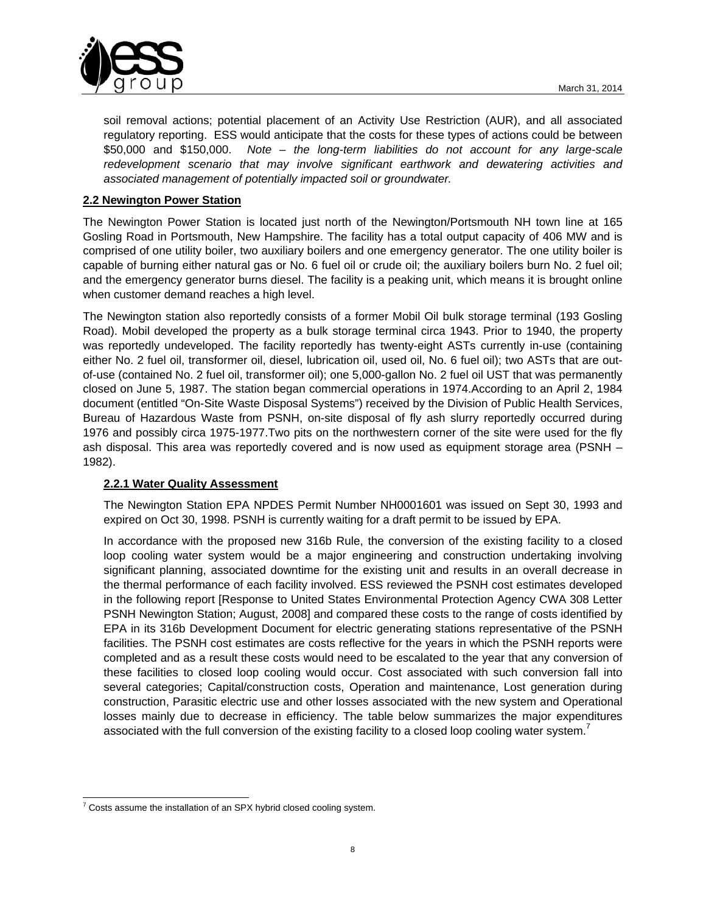

soil removal actions; potential placement of an Activity Use Restriction (AUR), and all associated regulatory reporting. ESS would anticipate that the costs for these types of actions could be between \$50,000 and \$150,000. *Note – the long-term liabilities do not account for any large-scale*  redevelopment scenario that may involve significant earthwork and dewatering activities and *associated management of potentially impacted soil or groundwater.*

# **2.2 Newington Power Station**

The Newington Power Station is located just north of the Newington/Portsmouth NH town line at 165 Gosling Road in Portsmouth, New Hampshire. The facility has a total output capacity of 406 MW and is comprised of one utility boiler, two auxiliary boilers and one emergency generator. The one utility boiler is capable of burning either natural gas or No. 6 fuel oil or crude oil; the auxiliary boilers burn No. 2 fuel oil; and the emergency generator burns diesel. The facility is a peaking unit, which means it is brought online when customer demand reaches a high level.

The Newington station also reportedly consists of a former Mobil Oil bulk storage terminal (193 Gosling Road). Mobil developed the property as a bulk storage terminal circa 1943. Prior to 1940, the property was reportedly undeveloped. The facility reportedly has twenty-eight ASTs currently in-use (containing either No. 2 fuel oil, transformer oil, diesel, lubrication oil, used oil, No. 6 fuel oil); two ASTs that are outof-use (contained No. 2 fuel oil, transformer oil); one 5,000-gallon No. 2 fuel oil UST that was permanently closed on June 5, 1987. The station began commercial operations in 1974.According to an April 2, 1984 document (entitled "On-Site Waste Disposal Systems") received by the Division of Public Health Services, Bureau of Hazardous Waste from PSNH, on-site disposal of fly ash slurry reportedly occurred during 1976 and possibly circa 1975-1977.Two pits on the northwestern corner of the site were used for the fly ash disposal. This area was reportedly covered and is now used as equipment storage area (PSNH – 1982).

## **2.2.1 Water Quality Assessment**

The Newington Station EPA NPDES Permit Number NH0001601 was issued on Sept 30, 1993 and expired on Oct 30, 1998. PSNH is currently waiting for a draft permit to be issued by EPA.

In accordance with the proposed new 316b Rule, the conversion of the existing facility to a closed loop cooling water system would be a major engineering and construction undertaking involving significant planning, associated downtime for the existing unit and results in an overall decrease in the thermal performance of each facility involved. ESS reviewed the PSNH cost estimates developed in the following report [Response to United States Environmental Protection Agency CWA 308 Letter PSNH Newington Station; August, 2008] and compared these costs to the range of costs identified by EPA in its 316b Development Document for electric generating stations representative of the PSNH facilities. The PSNH cost estimates are costs reflective for the years in which the PSNH reports were completed and as a result these costs would need to be escalated to the year that any conversion of these facilities to closed loop cooling would occur. Cost associated with such conversion fall into several categories; Capital/construction costs, Operation and maintenance, Lost generation during construction, Parasitic electric use and other losses associated with the new system and Operational losses mainly due to decrease in efficiency. The table below summarizes the major expenditures associated with the full conversion of the existing facility to a closed loop cooling water system.

<sup>&</sup>lt;sup>7</sup> Costs assume the installation of an SPX hybrid closed cooling system.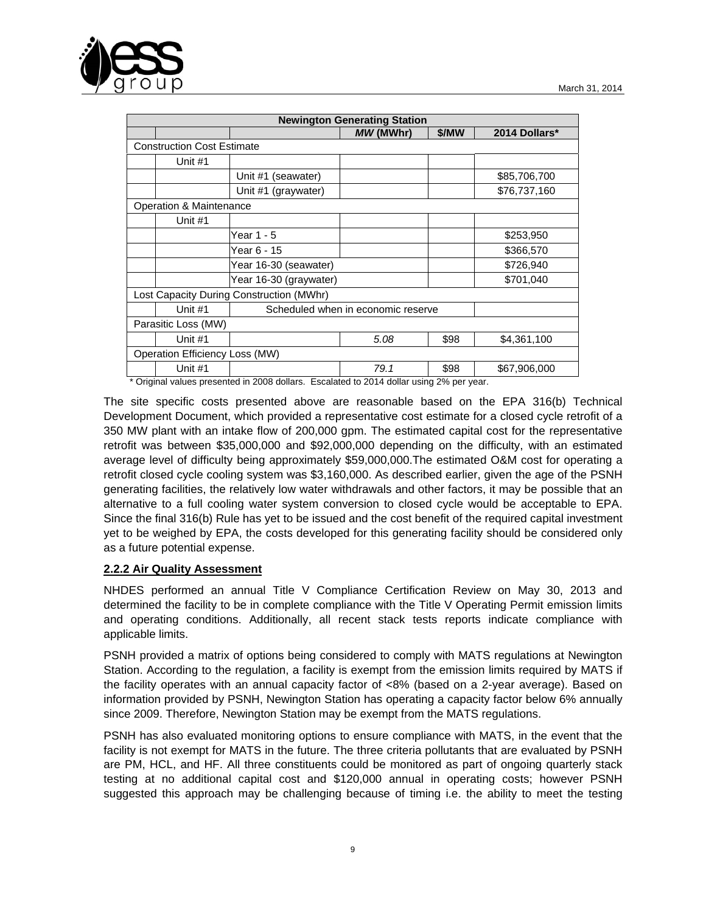

|                                          | <b>Newington Generating Station</b> |                                    |           |       |               |  |  |  |  |
|------------------------------------------|-------------------------------------|------------------------------------|-----------|-------|---------------|--|--|--|--|
|                                          |                                     |                                    | MW (MWhr) | \$/MW | 2014 Dollars* |  |  |  |  |
| <b>Construction Cost Estimate</b>        |                                     |                                    |           |       |               |  |  |  |  |
|                                          | Unit #1                             |                                    |           |       |               |  |  |  |  |
|                                          |                                     | Unit #1 (seawater)                 |           |       | \$85,706,700  |  |  |  |  |
|                                          |                                     | Unit #1 (graywater)                |           |       | \$76,737,160  |  |  |  |  |
| Operation & Maintenance                  |                                     |                                    |           |       |               |  |  |  |  |
|                                          | Unit #1                             |                                    |           |       |               |  |  |  |  |
|                                          |                                     | Year 1 - 5                         |           |       | \$253,950     |  |  |  |  |
|                                          |                                     | Year 6 - 15                        |           |       | \$366,570     |  |  |  |  |
|                                          |                                     | Year 16-30 (seawater)              |           |       | \$726,940     |  |  |  |  |
|                                          |                                     | Year 16-30 (graywater)             |           |       | \$701,040     |  |  |  |  |
| Lost Capacity During Construction (MWhr) |                                     |                                    |           |       |               |  |  |  |  |
|                                          | Unit $#1$                           | Scheduled when in economic reserve |           |       |               |  |  |  |  |
| Parasitic Loss (MW)                      |                                     |                                    |           |       |               |  |  |  |  |
|                                          | Unit #1                             |                                    | 5.08      | \$98  | \$4,361,100   |  |  |  |  |
| Operation Efficiency Loss (MW)           |                                     |                                    |           |       |               |  |  |  |  |
|                                          | Unit #1                             |                                    | 79.1      | \$98  | \$67,906,000  |  |  |  |  |

Original values presented in 2008 dollars. Escalated to 2014 dollar using 2% per year.

The site specific costs presented above are reasonable based on the EPA 316(b) Technical Development Document, which provided a representative cost estimate for a closed cycle retrofit of a 350 MW plant with an intake flow of 200,000 gpm. The estimated capital cost for the representative retrofit was between \$35,000,000 and \$92,000,000 depending on the difficulty, with an estimated average level of difficulty being approximately \$59,000,000.The estimated O&M cost for operating a retrofit closed cycle cooling system was \$3,160,000. As described earlier, given the age of the PSNH generating facilities, the relatively low water withdrawals and other factors, it may be possible that an alternative to a full cooling water system conversion to closed cycle would be acceptable to EPA. Since the final 316(b) Rule has yet to be issued and the cost benefit of the required capital investment yet to be weighed by EPA, the costs developed for this generating facility should be considered only as a future potential expense.

### **2.2.2 Air Quality Assessment**

NHDES performed an annual Title V Compliance Certification Review on May 30, 2013 and determined the facility to be in complete compliance with the Title V Operating Permit emission limits and operating conditions. Additionally, all recent stack tests reports indicate compliance with applicable limits.

PSNH provided a matrix of options being considered to comply with MATS regulations at Newington Station. According to the regulation, a facility is exempt from the emission limits required by MATS if the facility operates with an annual capacity factor of <8% (based on a 2-year average). Based on information provided by PSNH, Newington Station has operating a capacity factor below 6% annually since 2009. Therefore, Newington Station may be exempt from the MATS regulations.

PSNH has also evaluated monitoring options to ensure compliance with MATS, in the event that the facility is not exempt for MATS in the future. The three criteria pollutants that are evaluated by PSNH are PM, HCL, and HF. All three constituents could be monitored as part of ongoing quarterly stack testing at no additional capital cost and \$120,000 annual in operating costs; however PSNH suggested this approach may be challenging because of timing i.e. the ability to meet the testing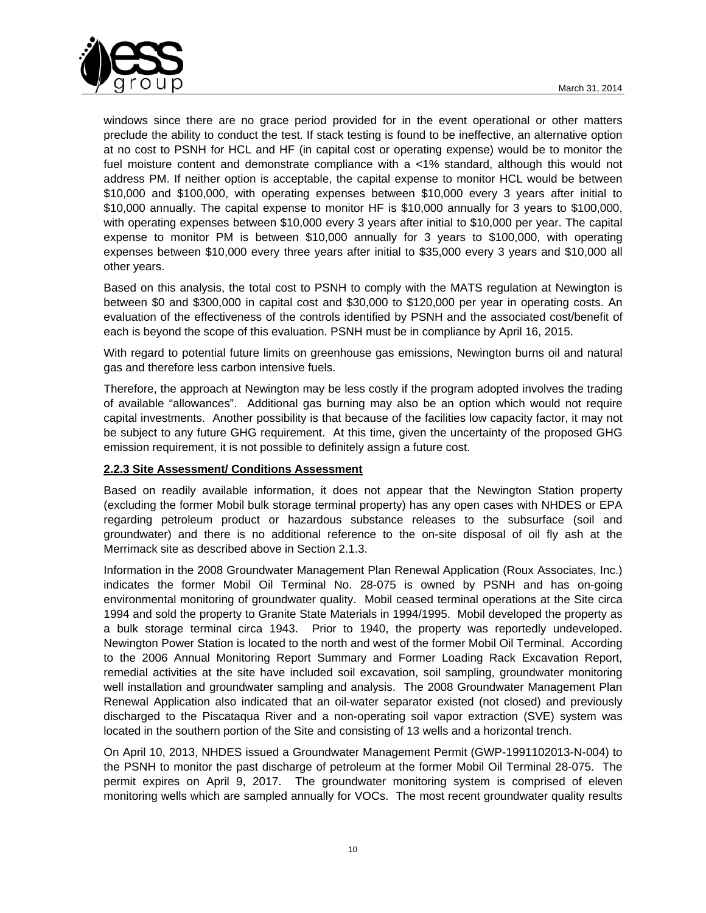

windows since there are no grace period provided for in the event operational or other matters preclude the ability to conduct the test. If stack testing is found to be ineffective, an alternative option at no cost to PSNH for HCL and HF (in capital cost or operating expense) would be to monitor the fuel moisture content and demonstrate compliance with a <1% standard, although this would not address PM. If neither option is acceptable, the capital expense to monitor HCL would be between \$10,000 and \$100,000, with operating expenses between \$10,000 every 3 years after initial to \$10,000 annually. The capital expense to monitor HF is \$10,000 annually for 3 years to \$100,000, with operating expenses between \$10,000 every 3 years after initial to \$10,000 per year. The capital expense to monitor PM is between \$10,000 annually for 3 years to \$100,000, with operating expenses between \$10,000 every three years after initial to \$35,000 every 3 years and \$10,000 all other years.

Based on this analysis, the total cost to PSNH to comply with the MATS regulation at Newington is between \$0 and \$300,000 in capital cost and \$30,000 to \$120,000 per year in operating costs. An evaluation of the effectiveness of the controls identified by PSNH and the associated cost/benefit of each is beyond the scope of this evaluation. PSNH must be in compliance by April 16, 2015.

With regard to potential future limits on greenhouse gas emissions, Newington burns oil and natural gas and therefore less carbon intensive fuels.

Therefore, the approach at Newington may be less costly if the program adopted involves the trading of available "allowances". Additional gas burning may also be an option which would not require capital investments. Another possibility is that because of the facilities low capacity factor, it may not be subject to any future GHG requirement. At this time, given the uncertainty of the proposed GHG emission requirement, it is not possible to definitely assign a future cost.

## **2.2.3 Site Assessment/ Conditions Assessment**

Based on readily available information, it does not appear that the Newington Station property (excluding the former Mobil bulk storage terminal property) has any open cases with NHDES or EPA regarding petroleum product or hazardous substance releases to the subsurface (soil and groundwater) and there is no additional reference to the on-site disposal of oil fly ash at the Merrimack site as described above in Section 2.1.3.

Information in the 2008 Groundwater Management Plan Renewal Application (Roux Associates, Inc.) indicates the former Mobil Oil Terminal No. 28-075 is owned by PSNH and has on-going environmental monitoring of groundwater quality. Mobil ceased terminal operations at the Site circa 1994 and sold the property to Granite State Materials in 1994/1995. Mobil developed the property as a bulk storage terminal circa 1943. Prior to 1940, the property was reportedly undeveloped. Newington Power Station is located to the north and west of the former Mobil Oil Terminal. According to the 2006 Annual Monitoring Report Summary and Former Loading Rack Excavation Report, remedial activities at the site have included soil excavation, soil sampling, groundwater monitoring well installation and groundwater sampling and analysis. The 2008 Groundwater Management Plan Renewal Application also indicated that an oil-water separator existed (not closed) and previously discharged to the Piscataqua River and a non-operating soil vapor extraction (SVE) system was located in the southern portion of the Site and consisting of 13 wells and a horizontal trench.

On April 10, 2013, NHDES issued a Groundwater Management Permit (GWP-1991102013-N-004) to the PSNH to monitor the past discharge of petroleum at the former Mobil Oil Terminal 28-075. The permit expires on April 9, 2017. The groundwater monitoring system is comprised of eleven monitoring wells which are sampled annually for VOCs. The most recent groundwater quality results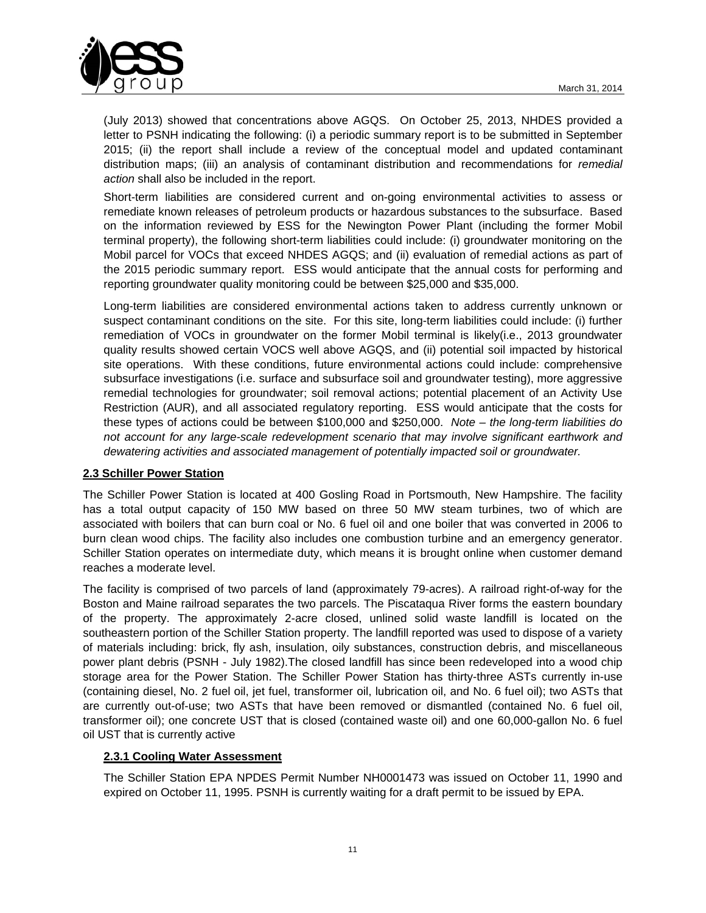

(July 2013) showed that concentrations above AGQS. On October 25, 2013, NHDES provided a letter to PSNH indicating the following: (i) a periodic summary report is to be submitted in September 2015; (ii) the report shall include a review of the conceptual model and updated contaminant distribution maps; (iii) an analysis of contaminant distribution and recommendations for *remedial action* shall also be included in the report.

Short-term liabilities are considered current and on-going environmental activities to assess or remediate known releases of petroleum products or hazardous substances to the subsurface. Based on the information reviewed by ESS for the Newington Power Plant (including the former Mobil terminal property), the following short-term liabilities could include: (i) groundwater monitoring on the Mobil parcel for VOCs that exceed NHDES AGQS; and (ii) evaluation of remedial actions as part of the 2015 periodic summary report. ESS would anticipate that the annual costs for performing and reporting groundwater quality monitoring could be between \$25,000 and \$35,000.

Long-term liabilities are considered environmental actions taken to address currently unknown or suspect contaminant conditions on the site. For this site, long-term liabilities could include: (i) further remediation of VOCs in groundwater on the former Mobil terminal is likely(i.e., 2013 groundwater quality results showed certain VOCS well above AGQS, and (ii) potential soil impacted by historical site operations. With these conditions, future environmental actions could include: comprehensive subsurface investigations (i.e. surface and subsurface soil and groundwater testing), more aggressive remedial technologies for groundwater; soil removal actions; potential placement of an Activity Use Restriction (AUR), and all associated regulatory reporting. ESS would anticipate that the costs for these types of actions could be between \$100,000 and \$250,000. *Note – the long-term liabilities do not account for any large-scale redevelopment scenario that may involve significant earthwork and dewatering activities and associated management of potentially impacted soil or groundwater.*

### **2.3 Schiller Power Station**

The Schiller Power Station is located at 400 Gosling Road in Portsmouth, New Hampshire. The facility has a total output capacity of 150 MW based on three 50 MW steam turbines, two of which are associated with boilers that can burn coal or No. 6 fuel oil and one boiler that was converted in 2006 to burn clean wood chips. The facility also includes one combustion turbine and an emergency generator. Schiller Station operates on intermediate duty, which means it is brought online when customer demand reaches a moderate level.

The facility is comprised of two parcels of land (approximately 79-acres). A railroad right-of-way for the Boston and Maine railroad separates the two parcels. The Piscataqua River forms the eastern boundary of the property. The approximately 2-acre closed, unlined solid waste landfill is located on the southeastern portion of the Schiller Station property. The landfill reported was used to dispose of a variety of materials including: brick, fly ash, insulation, oily substances, construction debris, and miscellaneous power plant debris (PSNH - July 1982).The closed landfill has since been redeveloped into a wood chip storage area for the Power Station. The Schiller Power Station has thirty-three ASTs currently in-use (containing diesel, No. 2 fuel oil, jet fuel, transformer oil, lubrication oil, and No. 6 fuel oil); two ASTs that are currently out-of-use; two ASTs that have been removed or dismantled (contained No. 6 fuel oil, transformer oil); one concrete UST that is closed (contained waste oil) and one 60,000-gallon No. 6 fuel oil UST that is currently active

## **2.3.1 Cooling Water Assessment**

The Schiller Station EPA NPDES Permit Number NH0001473 was issued on October 11, 1990 and expired on October 11, 1995. PSNH is currently waiting for a draft permit to be issued by EPA.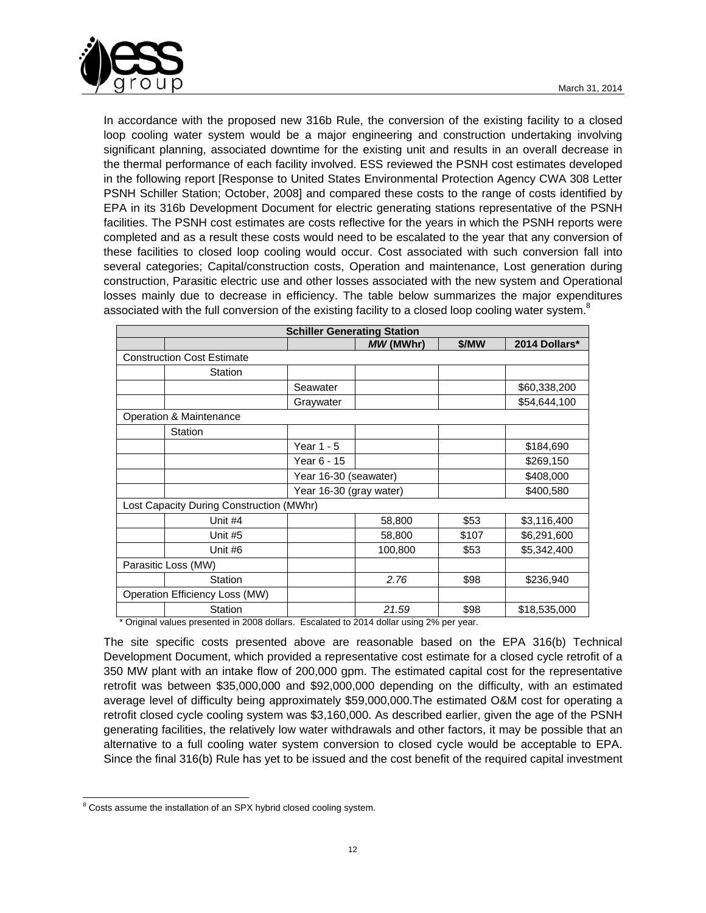

In accordance with the proposed new 316b Rule, the conversion of the existing facility to a closed loop cooling water system would be a major engineering and construction undertaking involving significant planning, associated downtime for the existing unit and results in an overall decrease in the thermal performance of each facility involved. ESS reviewed the PSNH cost estimates developed in the following report [Response to United States Environmental Protection Agency CWA 308 Letter PSNH Schiller Station; October, 2008] and compared these costs to the range of costs identified by EPA in its 316b Development Document for electric generating stations representative of the PSNH facilities. The PSNH cost estimates are costs reflective for the years in which the PSNH reports were completed and as a result these costs would need to be escalated to the year that any conversion of these facilities to closed loop cooling would occur. Cost associated with such conversion fall into several categories; Capital/construction costs, Operation and maintenance, Lost generation during construction, Parasitic electric use and other losses associated with the new system and Operational losses mainly due to decrease in efficiency. The table below summarizes the major expenditures associated with the full conversion of the existing facility to a closed loop cooling water system. $8$ 

| <b>Schiller Generating Station</b>       |                                   |                         |           |       |               |  |  |
|------------------------------------------|-----------------------------------|-------------------------|-----------|-------|---------------|--|--|
|                                          |                                   |                         | MW (MWhr) | \$/MW | 2014 Dollars* |  |  |
|                                          | <b>Construction Cost Estimate</b> |                         |           |       |               |  |  |
|                                          | Station                           |                         |           |       |               |  |  |
|                                          |                                   | Seawater                |           |       | \$60,338,200  |  |  |
|                                          |                                   | Graywater               |           |       | \$54,644,100  |  |  |
|                                          | Operation & Maintenance           |                         |           |       |               |  |  |
|                                          | Station                           |                         |           |       |               |  |  |
|                                          |                                   | Year $1 - 5$            |           |       | \$184,690     |  |  |
|                                          |                                   | Year 6 - 15             |           |       | \$269,150     |  |  |
|                                          |                                   | Year 16-30 (seawater)   |           |       | \$408,000     |  |  |
|                                          |                                   | Year 16-30 (gray water) |           |       | \$400,580     |  |  |
| Lost Capacity During Construction (MWhr) |                                   |                         |           |       |               |  |  |
|                                          | Unit #4                           |                         | 58,800    | \$53  | \$3,116,400   |  |  |
|                                          | Unit #5                           |                         | 58,800    | \$107 | \$6,291,600   |  |  |
|                                          | Unit #6                           |                         | 100,800   | \$53  | \$5,342,400   |  |  |
| Parasitic Loss (MW)                      |                                   |                         |           |       |               |  |  |
|                                          | Station                           |                         | 2.76      | \$98  | \$236,940     |  |  |
| Operation Efficiency Loss (MW)           |                                   |                         |           |       |               |  |  |
|                                          | <b>Station</b>                    |                         | 21.59     | \$98  | \$18,535,000  |  |  |

\* Original values presented in 2008 dollars. Escalated to 2014 dollar using 2% per year.

The site specific costs presented above are reasonable based on the EPA 316(b) Technical Development Document, which provided a representative cost estimate for a closed cycle retrofit of a 350 MW plant with an intake flow of 200,000 gpm. The estimated capital cost for the representative retrofit was between \$35,000,000 and \$92,000,000 depending on the difficulty, with an estimated average level of difficulty being approximately \$59,000,000.The estimated O&M cost for operating a retrofit closed cycle cooling system was \$3,160,000. As described earlier, given the age of the PSNH generating facilities, the relatively low water withdrawals and other factors, it may be possible that an alternative to a full cooling water system conversion to closed cycle would be acceptable to EPA. Since the final 316(b) Rule has yet to be issued and the cost benefit of the required capital investment

l <sup>8</sup> Costs assume the installation of an SPX hybrid closed cooling system.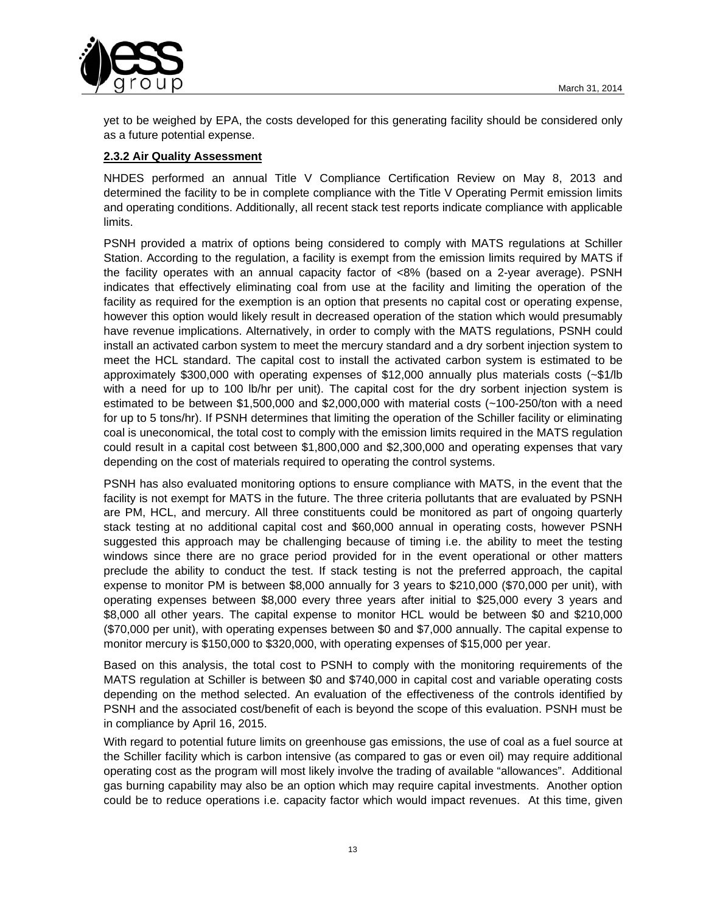

yet to be weighed by EPA, the costs developed for this generating facility should be considered only as a future potential expense.

## **2.3.2 Air Quality Assessment**

NHDES performed an annual Title V Compliance Certification Review on May 8, 2013 and determined the facility to be in complete compliance with the Title V Operating Permit emission limits and operating conditions. Additionally, all recent stack test reports indicate compliance with applicable limits.

PSNH provided a matrix of options being considered to comply with MATS regulations at Schiller Station. According to the regulation, a facility is exempt from the emission limits required by MATS if the facility operates with an annual capacity factor of <8% (based on a 2-year average). PSNH indicates that effectively eliminating coal from use at the facility and limiting the operation of the facility as required for the exemption is an option that presents no capital cost or operating expense, however this option would likely result in decreased operation of the station which would presumably have revenue implications. Alternatively, in order to comply with the MATS regulations, PSNH could install an activated carbon system to meet the mercury standard and a dry sorbent injection system to meet the HCL standard. The capital cost to install the activated carbon system is estimated to be approximately \$300,000 with operating expenses of \$12,000 annually plus materials costs (~\$1/lb with a need for up to 100 lb/hr per unit). The capital cost for the dry sorbent injection system is estimated to be between \$1,500,000 and \$2,000,000 with material costs (~100-250/ton with a need for up to 5 tons/hr). If PSNH determines that limiting the operation of the Schiller facility or eliminating coal is uneconomical, the total cost to comply with the emission limits required in the MATS regulation could result in a capital cost between \$1,800,000 and \$2,300,000 and operating expenses that vary depending on the cost of materials required to operating the control systems.

PSNH has also evaluated monitoring options to ensure compliance with MATS, in the event that the facility is not exempt for MATS in the future. The three criteria pollutants that are evaluated by PSNH are PM, HCL, and mercury. All three constituents could be monitored as part of ongoing quarterly stack testing at no additional capital cost and \$60,000 annual in operating costs, however PSNH suggested this approach may be challenging because of timing i.e. the ability to meet the testing windows since there are no grace period provided for in the event operational or other matters preclude the ability to conduct the test. If stack testing is not the preferred approach, the capital expense to monitor PM is between \$8,000 annually for 3 years to \$210,000 (\$70,000 per unit), with operating expenses between \$8,000 every three years after initial to \$25,000 every 3 years and \$8,000 all other years. The capital expense to monitor HCL would be between \$0 and \$210,000 (\$70,000 per unit), with operating expenses between \$0 and \$7,000 annually. The capital expense to monitor mercury is \$150,000 to \$320,000, with operating expenses of \$15,000 per year.

Based on this analysis, the total cost to PSNH to comply with the monitoring requirements of the MATS regulation at Schiller is between \$0 and \$740,000 in capital cost and variable operating costs depending on the method selected. An evaluation of the effectiveness of the controls identified by PSNH and the associated cost/benefit of each is beyond the scope of this evaluation. PSNH must be in compliance by April 16, 2015.

With regard to potential future limits on greenhouse gas emissions, the use of coal as a fuel source at the Schiller facility which is carbon intensive (as compared to gas or even oil) may require additional operating cost as the program will most likely involve the trading of available "allowances". Additional gas burning capability may also be an option which may require capital investments. Another option could be to reduce operations i.e. capacity factor which would impact revenues. At this time, given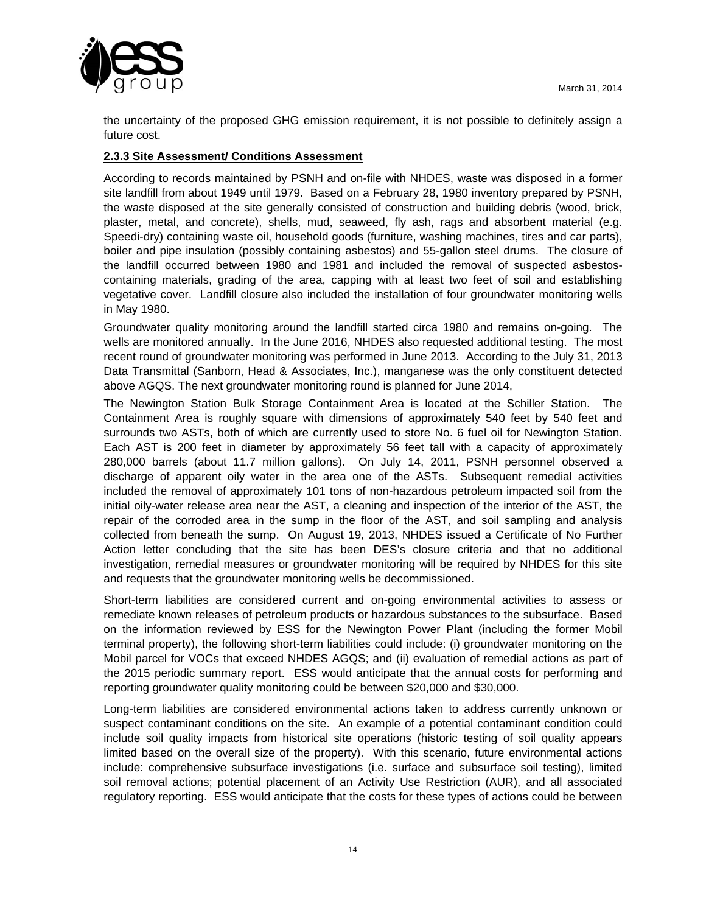

the uncertainty of the proposed GHG emission requirement, it is not possible to definitely assign a future cost.

## **2.3.3 Site Assessment/ Conditions Assessment**

According to records maintained by PSNH and on-file with NHDES, waste was disposed in a former site landfill from about 1949 until 1979. Based on a February 28, 1980 inventory prepared by PSNH, the waste disposed at the site generally consisted of construction and building debris (wood, brick, plaster, metal, and concrete), shells, mud, seaweed, fly ash, rags and absorbent material (e.g. Speedi-dry) containing waste oil, household goods (furniture, washing machines, tires and car parts), boiler and pipe insulation (possibly containing asbestos) and 55-gallon steel drums. The closure of the landfill occurred between 1980 and 1981 and included the removal of suspected asbestoscontaining materials, grading of the area, capping with at least two feet of soil and establishing vegetative cover. Landfill closure also included the installation of four groundwater monitoring wells in May 1980.

Groundwater quality monitoring around the landfill started circa 1980 and remains on-going. The wells are monitored annually. In the June 2016, NHDES also requested additional testing. The most recent round of groundwater monitoring was performed in June 2013. According to the July 31, 2013 Data Transmittal (Sanborn, Head & Associates, Inc.), manganese was the only constituent detected above AGQS. The next groundwater monitoring round is planned for June 2014,

The Newington Station Bulk Storage Containment Area is located at the Schiller Station. The Containment Area is roughly square with dimensions of approximately 540 feet by 540 feet and surrounds two ASTs, both of which are currently used to store No. 6 fuel oil for Newington Station. Each AST is 200 feet in diameter by approximately 56 feet tall with a capacity of approximately 280,000 barrels (about 11.7 million gallons). On July 14, 2011, PSNH personnel observed a discharge of apparent oily water in the area one of the ASTs. Subsequent remedial activities included the removal of approximately 101 tons of non-hazardous petroleum impacted soil from the initial oily-water release area near the AST, a cleaning and inspection of the interior of the AST, the repair of the corroded area in the sump in the floor of the AST, and soil sampling and analysis collected from beneath the sump. On August 19, 2013, NHDES issued a Certificate of No Further Action letter concluding that the site has been DES's closure criteria and that no additional investigation, remedial measures or groundwater monitoring will be required by NHDES for this site and requests that the groundwater monitoring wells be decommissioned.

Short-term liabilities are considered current and on-going environmental activities to assess or remediate known releases of petroleum products or hazardous substances to the subsurface. Based on the information reviewed by ESS for the Newington Power Plant (including the former Mobil terminal property), the following short-term liabilities could include: (i) groundwater monitoring on the Mobil parcel for VOCs that exceed NHDES AGQS; and (ii) evaluation of remedial actions as part of the 2015 periodic summary report. ESS would anticipate that the annual costs for performing and reporting groundwater quality monitoring could be between \$20,000 and \$30,000.

Long-term liabilities are considered environmental actions taken to address currently unknown or suspect contaminant conditions on the site. An example of a potential contaminant condition could include soil quality impacts from historical site operations (historic testing of soil quality appears limited based on the overall size of the property). With this scenario, future environmental actions include: comprehensive subsurface investigations (i.e. surface and subsurface soil testing), limited soil removal actions; potential placement of an Activity Use Restriction (AUR), and all associated regulatory reporting. ESS would anticipate that the costs for these types of actions could be between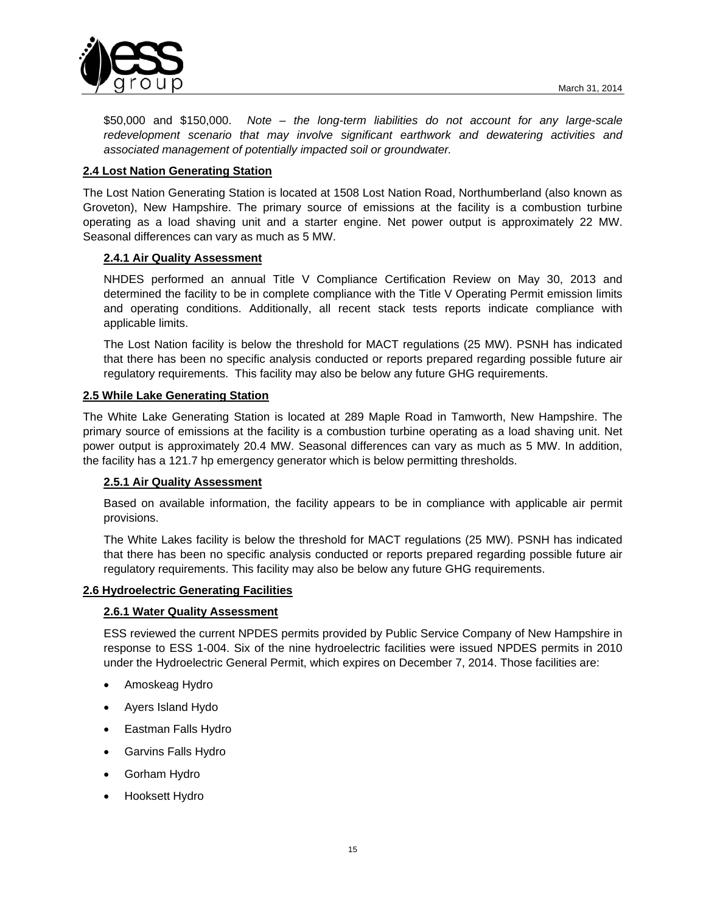

\$50,000 and \$150,000. *Note – the long-term liabilities do not account for any large-scale redevelopment scenario that may involve significant earthwork and dewatering activities and associated management of potentially impacted soil or groundwater.*

## **2.4 Lost Nation Generating Station**

The Lost Nation Generating Station is located at 1508 Lost Nation Road, Northumberland (also known as Groveton), New Hampshire. The primary source of emissions at the facility is a combustion turbine operating as a load shaving unit and a starter engine. Net power output is approximately 22 MW. Seasonal differences can vary as much as 5 MW.

### **2.4.1 Air Quality Assessment**

NHDES performed an annual Title V Compliance Certification Review on May 30, 2013 and determined the facility to be in complete compliance with the Title V Operating Permit emission limits and operating conditions. Additionally, all recent stack tests reports indicate compliance with applicable limits.

The Lost Nation facility is below the threshold for MACT regulations (25 MW). PSNH has indicated that there has been no specific analysis conducted or reports prepared regarding possible future air regulatory requirements. This facility may also be below any future GHG requirements.

### **2.5 While Lake Generating Station**

The White Lake Generating Station is located at 289 Maple Road in Tamworth, New Hampshire. The primary source of emissions at the facility is a combustion turbine operating as a load shaving unit. Net power output is approximately 20.4 MW. Seasonal differences can vary as much as 5 MW. In addition, the facility has a 121.7 hp emergency generator which is below permitting thresholds.

### **2.5.1 Air Quality Assessment**

Based on available information, the facility appears to be in compliance with applicable air permit provisions.

The White Lakes facility is below the threshold for MACT regulations (25 MW). PSNH has indicated that there has been no specific analysis conducted or reports prepared regarding possible future air regulatory requirements. This facility may also be below any future GHG requirements.

### **2.6 Hydroelectric Generating Facilities**

### **2.6.1 Water Quality Assessment**

ESS reviewed the current NPDES permits provided by Public Service Company of New Hampshire in response to ESS 1-004. Six of the nine hydroelectric facilities were issued NPDES permits in 2010 under the Hydroelectric General Permit, which expires on December 7, 2014. Those facilities are:

- Amoskeag Hydro
- Ayers Island Hydo
- Eastman Falls Hydro
- Garvins Falls Hydro
- Gorham Hydro
- Hooksett Hydro